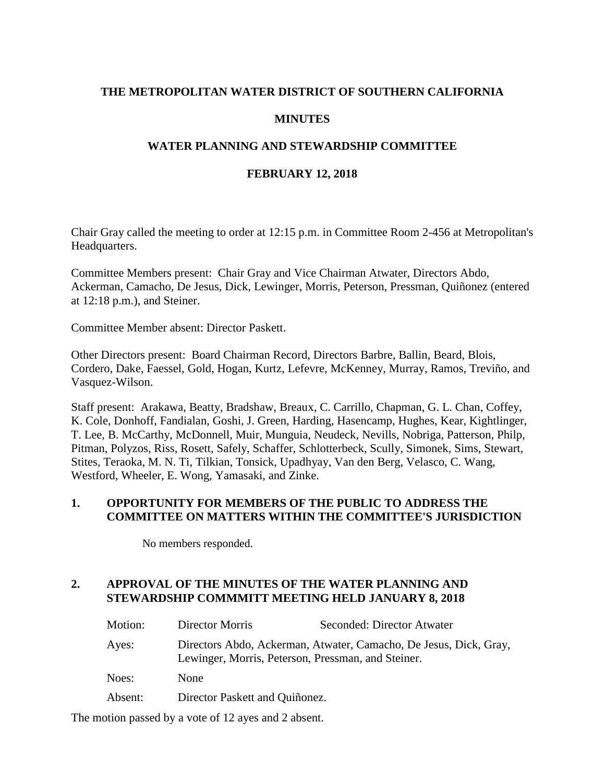# **THE METROPOLITAN WATER DISTRICT OF SOUTHERN CALIFORNIA**

# **MINUTES**

# **WATER PLANNING AND STEWARDSHIP COMMITTEE**

### **FEBRUARY 12, 2018**

Chair Gray called the meeting to order at 12:15 p.m. in Committee Room 2-456 at Metropolitan's Headquarters.

Committee Members present: Chair Gray and Vice Chairman Atwater, Directors Abdo, Ackerman, Camacho, De Jesus, Dick, Lewinger, Morris, Peterson, Pressman, Quiñonez (entered at 12:18 p.m.), and Steiner.

Committee Member absent: Director Paskett.

Other Directors present: Board Chairman Record, Directors Barbre, Ballin, Beard, Blois, Cordero, Dake, Faessel, Gold, Hogan, Kurtz, Lefevre, McKenney, Murray, Ramos, Treviño, and Vasquez-Wilson.

Staff present: Arakawa, Beatty, Bradshaw, Breaux, C. Carrillo, Chapman, G. L. Chan, Coffey, K. Cole, Donhoff, Fandialan, Goshi, J. Green, Harding, Hasencamp, Hughes, Kear, Kightlinger, T. Lee, B. McCarthy, McDonnell, Muir, Munguia, Neudeck, Nevills, Nobriga, Patterson, Philp, Pitman, Polyzos, Riss, Rosett, Safely, Schaffer, Schlotterbeck, Scully, Simonek, Sims, Stewart, Stites, Teraoka, M. N. Ti, Tilkian, Tonsick, Upadhyay, Van den Berg, Velasco, C. Wang, Westford, Wheeler, E. Wong, Yamasaki, and Zinke.

### **1. OPPORTUNITY FOR MEMBERS OF THE PUBLIC TO ADDRESS THE COMMITTEE ON MATTERS WITHIN THE COMMITTEE'S JURISDICTION**

No members responded.

# **2. APPROVAL OF THE MINUTES OF THE WATER PLANNING AND STEWARDSHIP COMMMITT MEETING HELD JANUARY 8, 2018**

| Motion: | Director Morris                                                                                                         | Seconded: Director Atwater |  |
|---------|-------------------------------------------------------------------------------------------------------------------------|----------------------------|--|
| Ayes:   | Directors Abdo, Ackerman, Atwater, Camacho, De Jesus, Dick, Gray,<br>Lewinger, Morris, Peterson, Pressman, and Steiner. |                            |  |
| Noes:   | <b>None</b>                                                                                                             |                            |  |
| Absent: | Director Paskett and Quiñonez.                                                                                          |                            |  |

The motion passed by a vote of 12 ayes and 2 absent.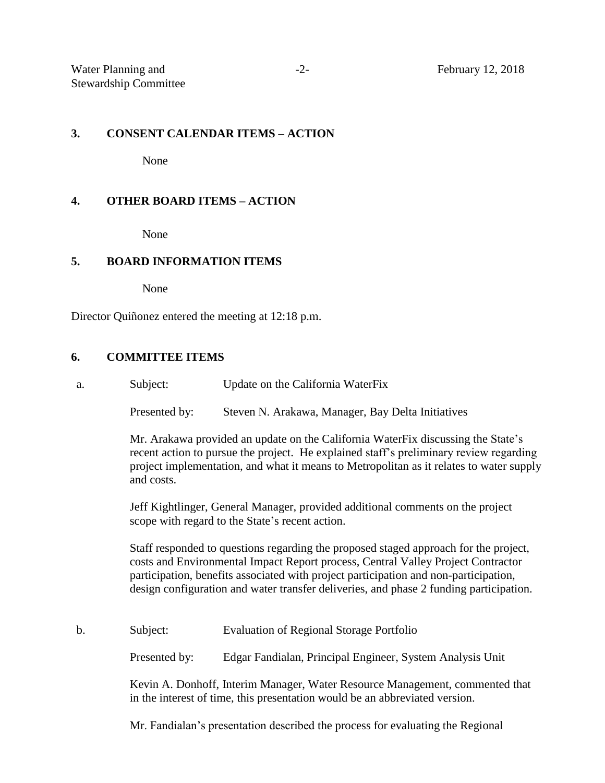#### **3. CONSENT CALENDAR ITEMS – ACTION**

None

### **4. OTHER BOARD ITEMS – ACTION**

None

# **5. BOARD INFORMATION ITEMS**

None

Director Quiñonez entered the meeting at 12:18 p.m.

### **6. COMMITTEE ITEMS**

a. Subject: Update on the California WaterFix

Presented by: Steven N. Arakawa, Manager, Bay Delta Initiatives

Mr. Arakawa provided an update on the California WaterFix discussing the State's recent action to pursue the project. He explained staff's preliminary review regarding project implementation, and what it means to Metropolitan as it relates to water supply and costs.

Jeff Kightlinger, General Manager, provided additional comments on the project scope with regard to the State's recent action.

Staff responded to questions regarding the proposed staged approach for the project, costs and Environmental Impact Report process, Central Valley Project Contractor participation, benefits associated with project participation and non-participation, design configuration and water transfer deliveries, and phase 2 funding participation.

b. Subject: Evaluation of Regional Storage Portfolio

Presented by: Edgar Fandialan, Principal Engineer, System Analysis Unit

Kevin A. Donhoff, Interim Manager, Water Resource Management, commented that in the interest of time, this presentation would be an abbreviated version.

Mr. Fandialan's presentation described the process for evaluating the Regional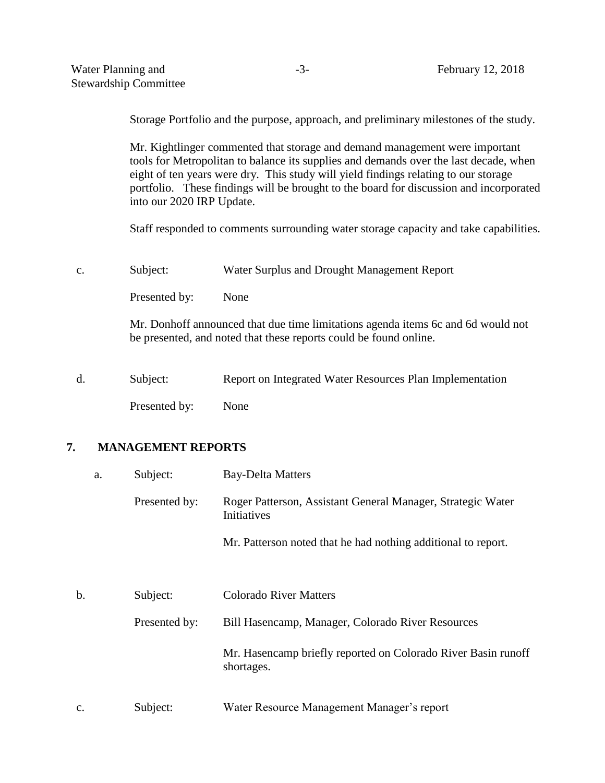Storage Portfolio and the purpose, approach, and preliminary milestones of the study.

Mr. Kightlinger commented that storage and demand management were important tools for Metropolitan to balance its supplies and demands over the last decade, when eight of ten years were dry. This study will yield findings relating to our storage portfolio. These findings will be brought to the board for discussion and incorporated into our 2020 IRP Update.

Staff responded to comments surrounding water storage capacity and take capabilities.

c. Subject: Water Surplus and Drought Management Report

Presented by: None

Mr. Donhoff announced that due time limitations agenda items 6c and 6d would not be presented, and noted that these reports could be found online.

d. Subject: Report on Integrated Water Resources Plan Implementation Presented by: None

### **7. MANAGEMENT REPORTS**

| a. | Subject:      | <b>Bay-Delta Matters</b>                                                    |
|----|---------------|-----------------------------------------------------------------------------|
|    | Presented by: | Roger Patterson, Assistant General Manager, Strategic Water<br>Initiatives  |
|    |               | Mr. Patterson noted that he had nothing additional to report.               |
| b. | Subject:      | <b>Colorado River Matters</b>                                               |
|    | Presented by: | Bill Hasencamp, Manager, Colorado River Resources                           |
|    |               | Mr. Hasencamp briefly reported on Colorado River Basin runoff<br>shortages. |
| c. | Subject:      | Water Resource Management Manager's report                                  |